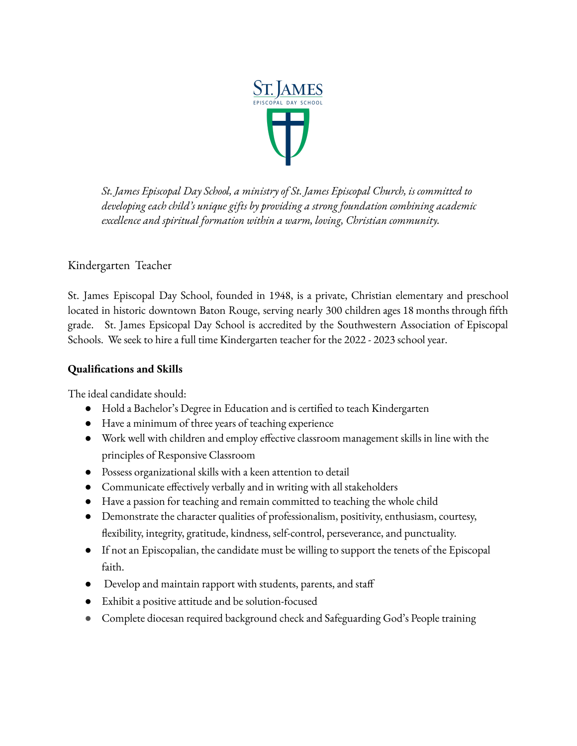

*St. James Episcopal Day School, a ministry of St. James Episcopal Church, is committed to developing each child's unique gifts by providing a strong foundation combining academic excellence and spiritual formation within a warm, loving, Christian community.*

## Kindergarten Teacher

St. James Episcopal Day School, founded in 1948, is a private, Christian elementary and preschool located in historic downtown Baton Rouge, serving nearly 300 children ages 18 months through fifth grade. St. James Epsicopal Day School is accredited by the Southwestern Association of Episcopal Schools. We seek to hire a full time Kindergarten teacher for the 2022 - 2023 school year.

## **Qualifications and Skills**

The ideal candidate should:

- Hold a Bachelor's Degree in Education and is certified to teach Kindergarten
- Have a minimum of three years of teaching experience
- Work well with children and employ effective classroom management skills in line with the principles of Responsive Classroom
- Possess organizational skills with a keen attention to detail
- Communicate effectively verbally and in writing with all stakeholders
- Have a passion for teaching and remain committed to teaching the whole child
- Demonstrate the character qualities of professionalism, positivity, enthusiasm, courtesy, flexibility, integrity, gratitude, kindness, self-control, perseverance, and punctuality.
- If not an Episcopalian, the candidate must be willing to support the tenets of the Episcopal faith.
- Develop and maintain rapport with students, parents, and staff
- Exhibit a positive attitude and be solution-focused
- Complete diocesan required background check and Safeguarding God's People training